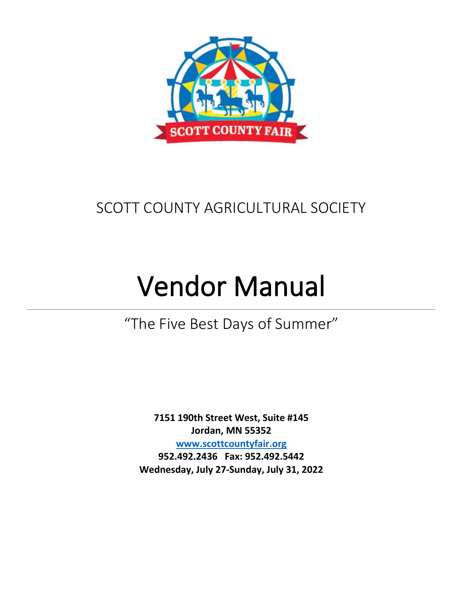

# SCOTT COUNTY AGRICULTURAL SOCIETY

# Vendor Manual

"The Five Best Days of Summer"

**7151 190th Street West, Suite #145 Jordan, MN 55352 www.scottcountyfair.org 952.492.2436 Fax: 952.492.5442 Wednesday, July 27-Sunday, July 31, 2022**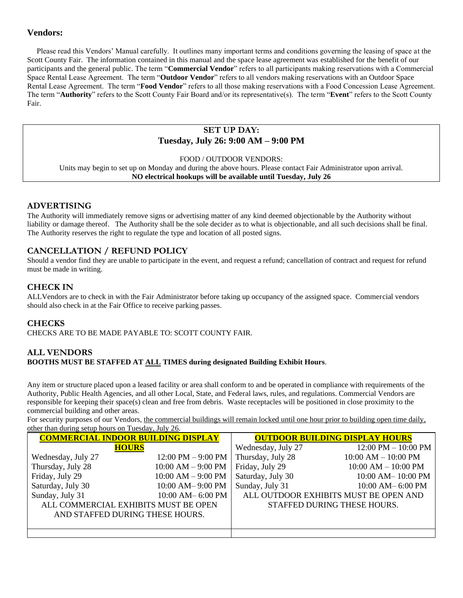# **Vendors:**

 Please read this Vendors' Manual carefully. It outlines many important terms and conditions governing the leasing of space at the Scott County Fair. The information contained in this manual and the space lease agreement was established for the benefit of our participants and the general public. The term "**Commercial Vendor**" refers to all participants making reservations with a Commercial Space Rental Lease Agreement. The term "**Outdoor Vendor**" refers to all vendors making reservations with an Outdoor Space Rental Lease Agreement. The term "**Food Vendor**" refers to all those making reservations with a Food Concession Lease Agreement. The term "**Authority**" refers to the Scott County Fair Board and/or its representative(s). The term "**Event**" refers to the Scott County Fair.

# **SET UP DAY: Tuesday, July 26: 9:00 AM – 9:00 PM**

FOOD / OUTDOOR VENDORS:

Units may begin to set up on Monday and during the above hours. Please contact Fair Administrator upon arrival. **NO electrical hookups will be available until Tuesday, July 26**

#### **ADVERTISING**

The Authority will immediately remove signs or advertising matter of any kind deemed objectionable by the Authority without liability or damage thereof. The Authority shall be the sole decider as to what is objectionable, and all such decisions shall be final. The Authority reserves the right to regulate the type and location of all posted signs.

#### **CANCELLATION / REFUND POLICY**

Should a vendor find they are unable to participate in the event, and request a refund; cancellation of contract and request for refund must be made in writing.

### **CHECK IN**

ALLVendors are to check in with the Fair Administrator before taking up occupancy of the assigned space. Commercial vendors should also check in at the Fair Office to receive parking passes.

#### **CHECKS**

CHECKS ARE TO BE MADE PAYABLE TO: SCOTT COUNTY FAIR.

#### **ALL VENDORS BOOTHS MUST BE STAFFED AT ALL TIMES during designated Building Exhibit Hours**.

Any item or structure placed upon a leased facility or area shall conform to and be operated in compliance with requirements of the Authority, Public Health Agencies, and all other Local, State, and Federal laws, rules, and regulations. Commercial Vendors are responsible for keeping their space(s) clean and free from debris. Waste receptacles will be positioned in close proximity to the commercial building and other areas.

For security purposes of our Vendors, the commercial buildings will remain locked until one hour prior to building open time daily, other than during setup hours on Tuesday, July 26.

| <b>COMMERCIAL INDOOR BUILDING DISPLAY</b> |                        | <b>OUTDOOR BUILDING DISPLAY HOURS</b> |                                       |
|-------------------------------------------|------------------------|---------------------------------------|---------------------------------------|
| <b>HOURS</b>                              |                        | Wednesday, July 27                    | $12:00 \text{ PM} - 10:00 \text{ PM}$ |
| Wednesday, July 27                        | 12:00 PM $-$ 9:00 PM   | Thursday, July 28                     | $10:00$ AM $- 10:00$ PM               |
| Thursday, July 28                         | $10:00$ AM $-$ 9:00 PM | Friday, July 29                       | $10:00$ AM $- 10:00$ PM               |
| Friday, July 29                           | $10:00$ AM $-9:00$ PM  | Saturday, July 30                     | $10:00$ AM $-$ 10:00 PM               |
| Saturday, July 30                         | 10:00 AM-9:00 PM       | Sunday, July 31                       | 10:00 AM-6:00 PM                      |
| Sunday, July 31                           | 10:00 AM-6:00 PM       |                                       | ALL OUTDOOR EXHIBITS MUST BE OPEN AND |
| ALL COMMERCIAL EXHIBITS MUST BE OPEN      |                        |                                       | STAFFED DURING THESE HOURS.           |
| AND STAFFED DURING THESE HOURS.           |                        |                                       |                                       |
|                                           |                        |                                       |                                       |
|                                           |                        |                                       |                                       |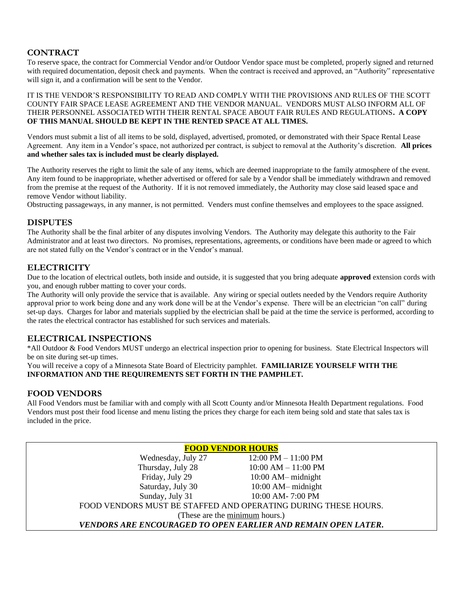# **CONTRACT**

To reserve space, the contract for Commercial Vendor and/or Outdoor Vendor space must be completed, properly signed and returned with required documentation, deposit check and payments. When the contract is received and approved, an "Authority" representative will sign it, and a confirmation will be sent to the Vendor.

IT IS THE VENDOR'S RESPONSIBILITY TO READ AND COMPLY WITH THE PROVISIONS AND RULES OF THE SCOTT COUNTY FAIR SPACE LEASE AGREEMENT AND THE VENDOR MANUAL. VENDORS MUST ALSO INFORM ALL OF THEIR PERSONNEL ASSOCIATED WITH THEIR RENTAL SPACE ABOUT FAIR RULES AND REGULATIONS**. A COPY OF THIS MANUAL SHOULD BE KEPT IN THE RENTED SPACE AT ALL TIMES.**

Vendors must submit a list of all items to be sold, displayed, advertised, promoted, or demonstrated with their Space Rental Lease Agreement. Any item in a Vendor's space, not authorized per contract, is subject to removal at the Authority's discretion. **All prices and whether sales tax is included must be clearly displayed.**

The Authority reserves the right to limit the sale of any items, which are deemed inappropriate to the family atmosphere of the event. Any item found to be inappropriate, whether advertised or offered for sale by a Vendor shall be immediately withdrawn and removed from the premise at the request of the Authority. If it is not removed immediately, the Authority may close said leased space and remove Vendor without liability.

Obstructing passageways, in any manner, is not permitted. Venders must confine themselves and employees to the space assigned.

### **DISPUTES**

The Authority shall be the final arbiter of any disputes involving Vendors. The Authority may delegate this authority to the Fair Administrator and at least two directors. No promises, representations, agreements, or conditions have been made or agreed to which are not stated fully on the Vendor's contract or in the Vendor's manual.

### **ELECTRICITY**

Due to the location of electrical outlets, both inside and outside, it is suggested that you bring adequate **approved** extension cords with you, and enough rubber matting to cover your cords.

The Authority will only provide the service that is available. Any wiring or special outlets needed by the Vendors require Authority approval prior to work being done and any work done will be at the Vendor's expense. There will be an electrician "on call" during set-up days. Charges for labor and materials supplied by the electrician shall be paid at the time the service is performed, according to the rates the electrical contractor has established for such services and materials.

# **ELECTRICAL INSPECTIONS**

\*All Outdoor & Food Vendors MUST undergo an electrical inspection prior to opening for business. State Electrical Inspectors will be on site during set-up times.

You will receive a copy of a Minnesota State Board of Electricity pamphlet. **FAMILIARIZE YOURSELF WITH THE INFORMATION AND THE REQUIREMENTS SET FORTH IN THE PAMPHLET.**

# **FOOD VENDORS**

All Food Vendors must be familiar with and comply with all Scott County and/or Minnesota Health Department regulations. Food Vendors must post their food license and menu listing the prices they charge for each item being sold and state that sales tax is included in the price.

| <b>FOOD VENDOR HOURS</b>                                       |                                       |  |  |  |
|----------------------------------------------------------------|---------------------------------------|--|--|--|
| Wednesday, July 27                                             | $12:00 \text{ PM} - 11:00 \text{ PM}$ |  |  |  |
| Thursday, July 28                                              | $10:00$ AM $- 11:00$ PM               |  |  |  |
| Friday, July 29                                                | $10:00$ AM $-$ midnight               |  |  |  |
| Saturday, July 30                                              | $10:00$ AM-midnight                   |  |  |  |
| Sunday, July 31                                                | 10:00 AM-7:00 PM                      |  |  |  |
| FOOD VENDORS MUST BE STAFFED AND OPERATING DURING THESE HOURS. |                                       |  |  |  |
| (These are the minimum hours.)                                 |                                       |  |  |  |
| VENDORS ARE ENCOURAGED TO OPEN EARLIER AND REMAIN OPEN LATER.  |                                       |  |  |  |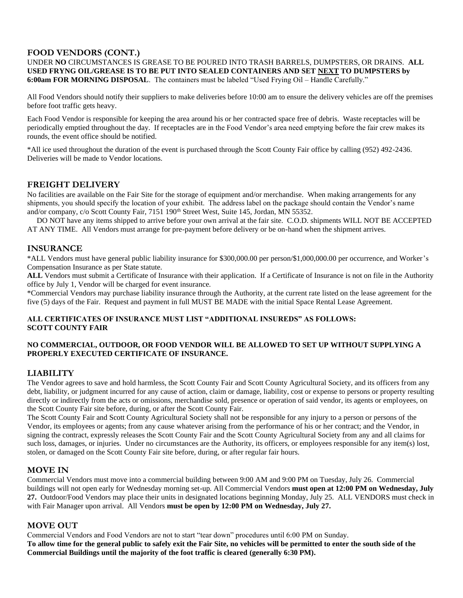# **FOOD VENDORS (CONT.)**

#### UNDER **NO** CIRCUMSTANCES IS GREASE TO BE POURED INTO TRASH BARRELS, DUMPSTERS, OR DRAINS. **ALL USED FRYNG OIL/GREASE IS TO BE PUT INTO SEALED CONTAINERS AND SET NEXT TO DUMPSTERS by 6:00am FOR MORNING DISPOSAL**. The containers must be labeled "Used Frying Oil – Handle Carefully."

All Food Vendors should notify their suppliers to make deliveries before 10:00 am to ensure the delivery vehicles are off the premises before foot traffic gets heavy.

Each Food Vendor is responsible for keeping the area around his or her contracted space free of debris. Waste receptacles will be periodically emptied throughout the day. If receptacles are in the Food Vendor's area need emptying before the fair crew makes its rounds, the event office should be notified.

\*All ice used throughout the duration of the event is purchased through the Scott County Fair office by calling (952) 492-2436. Deliveries will be made to Vendor locations.

### **FREIGHT DELIVERY**

No facilities are available on the Fair Site for the storage of equipment and/or merchandise. When making arrangements for any shipments, you should specify the location of your exhibit. The address label on the package should contain the Vendor's name and/or company, c/o Scott County Fair, 7151 190<sup>th</sup> Street West, Suite 145, Jordan, MN 55352.

 DO NOT have any items shipped to arrive before your own arrival at the fair site. C.O.D. shipments WILL NOT BE ACCEPTED AT ANY TIME. All Vendors must arrange for pre-payment before delivery or be on-hand when the shipment arrives.

#### **INSURANCE**

\*ALL Vendors must have general public liability insurance for \$300,000.00 per person/\$1,000,000.00 per occurrence, and Worker's Compensation Insurance as per State statute.

**ALL** Vendors must submit a Certificate of Insurance with their application. If a Certificate of Insurance is not on file in the Authority office by July 1, Vendor will be charged for event insurance.

\*Commercial Vendors may purchase liability insurance through the Authority, at the current rate listed on the lease agreement for the five (5) days of the Fair. Request and payment in full MUST BE MADE with the initial Space Rental Lease Agreement.

#### **ALL CERTIFICATES OF INSURANCE MUST LIST "ADDITIONAL INSUREDS" AS FOLLOWS: SCOTT COUNTY FAIR**

#### **NO COMMERCIAL, OUTDOOR, OR FOOD VENDOR WILL BE ALLOWED TO SET UP WITHOUT SUPPLYING A PROPERLY EXECUTED CERTIFICATE OF INSURANCE.**

# **LIABILITY**

The Vendor agrees to save and hold harmless, the Scott County Fair and Scott County Agricultural Society, and its officers from any debt, liability, or judgment incurred for any cause of action, claim or damage, liability, cost or expense to persons or property resulting directly or indirectly from the acts or omissions, merchandise sold, presence or operation of said vendor, its agents or employees, on the Scott County Fair site before, during, or after the Scott County Fair.

The Scott County Fair and Scott County Agricultural Society shall not be responsible for any injury to a person or persons of the Vendor, its employees or agents; from any cause whatever arising from the performance of his or her contract; and the Vendor, in signing the contract, expressly releases the Scott County Fair and the Scott County Agricultural Society from any and all claims for such loss, damages, or injuries. Under no circumstances are the Authority, its officers, or employees responsible for any item(s) lost, stolen, or damaged on the Scott County Fair site before, during, or after regular fair hours.

#### **MOVE IN**

Commercial Vendors must move into a commercial building between 9:00 AM and 9:00 PM on Tuesday, July 26. Commercial buildings will not open early for Wednesday morning set-up. All Commercial Vendors **must open at 12:00 PM on Wednesday, July 27.** Outdoor/Food Vendors may place their units in designated locations beginning Monday, July 25. ALL VENDORS must check in with Fair Manager upon arrival. All Vendors **must be open by 12:00 PM on Wednesday, July 27.**

#### **MOVE OUT**

Commercial Vendors and Food Vendors are not to start "tear down" procedures until 6:00 PM on Sunday. **To allow time for the general public to safely exit the Fair Site, no vehicles will be permitted to enter the south side of the Commercial Buildings until the majority of the foot traffic is cleared (generally 6:30 PM).**